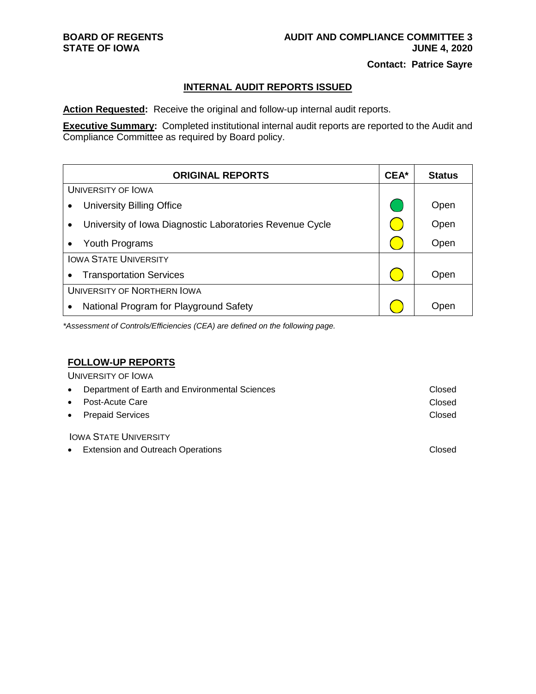### **INTERNAL AUDIT REPORTS ISSUED**

**Action Requested:** Receive the original and follow-up internal audit reports.

**Executive Summary:** Completed institutional internal audit reports are reported to the Audit and Compliance Committee as required by Board policy.

| <b>ORIGINAL REPORTS</b>                                               | CEA* | <b>Status</b> |
|-----------------------------------------------------------------------|------|---------------|
| <b>UNIVERSITY OF IOWA</b>                                             |      |               |
| <b>University Billing Office</b><br>$\bullet$                         |      | Open          |
| University of Iowa Diagnostic Laboratories Revenue Cycle<br>$\bullet$ |      | Open          |
| Youth Programs<br>$\bullet$                                           |      | Open          |
| <b>IOWA STATE UNIVERSITY</b>                                          |      |               |
| <b>Transportation Services</b><br>$\bullet$                           |      | Open          |
| UNIVERSITY OF NORTHERN IOWA                                           |      |               |
| National Program for Playground Safety<br>$\bullet$                   |      | Open          |

*\*Assessment of Controls/Efficiencies (CEA) are defined on the following page.*

## **FOLLOW-UP REPORTS**

UNIVERSITY OF IOWA

| • Department of Earth and Environmental Sciences | Closed |
|--------------------------------------------------|--------|
| • Post-Acute Care                                | Closed |
| • Prepaid Services                               | Closed |

IOWA STATE UNIVERSITY

• Extension and Outreach Operations **Closed** Closed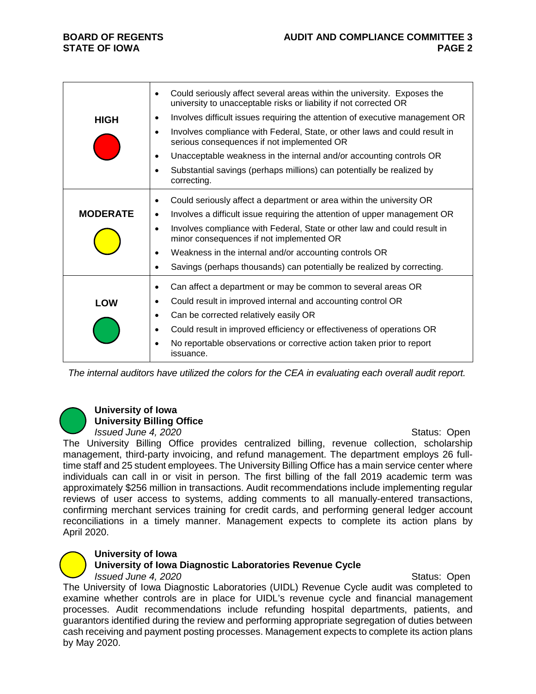|                 | Could seriously affect several areas within the university. Exposes the<br>٠<br>university to unacceptable risks or liability if not corrected OR |
|-----------------|---------------------------------------------------------------------------------------------------------------------------------------------------|
| <b>HIGH</b>     | Involves difficult issues requiring the attention of executive management OR                                                                      |
|                 | Involves compliance with Federal, State, or other laws and could result in<br>$\bullet$<br>serious consequences if not implemented OR             |
|                 | Unacceptable weakness in the internal and/or accounting controls OR<br>٠                                                                          |
|                 | Substantial savings (perhaps millions) can potentially be realized by<br>correcting.                                                              |
|                 | Could seriously affect a department or area within the university OR<br>٠                                                                         |
| <b>MODERATE</b> | Involves a difficult issue requiring the attention of upper management OR<br>٠                                                                    |
|                 | Involves compliance with Federal, State or other law and could result in<br>$\bullet$<br>minor consequences if not implemented OR                 |
|                 | Weakness in the internal and/or accounting controls OR<br>٠                                                                                       |
|                 | Savings (perhaps thousands) can potentially be realized by correcting.                                                                            |
|                 | Can affect a department or may be common to several areas OR<br>٠                                                                                 |
| LOW             | Could result in improved internal and accounting control OR<br>٠                                                                                  |
|                 | Can be corrected relatively easily OR<br>$\bullet$                                                                                                |
|                 | Could result in improved efficiency or effectiveness of operations OR<br>$\bullet$                                                                |
|                 | No reportable observations or corrective action taken prior to report<br>issuance.                                                                |

*The internal auditors have utilized the colors for the CEA in evaluating each overall audit report.*

# **University of Iowa University Billing Office**

*Issued June 4, 2020 ISSUED 10. ISSUED <b>Status: Open* 

The University Billing Office provides centralized billing, revenue collection, scholarship management, third-party invoicing, and refund management. The department employs 26 fulltime staff and 25 student employees. The University Billing Office has a main service center where individuals can call in or visit in person. The first billing of the fall 2019 academic term was approximately \$256 million in transactions. Audit recommendations include implementing regular reviews of user access to systems, adding comments to all manually-entered transactions, confirming merchant services training for credit cards, and performing general ledger account reconciliations in a timely manner. Management expects to complete its action plans by April 2020.

## **University of Iowa**

## **University of Iowa Diagnostic Laboratories Revenue Cycle**

*Issued June 4, 2020 ISSUED 10. ISSUED <b>Status: Open* 

The University of Iowa Diagnostic Laboratories (UIDL) Revenue Cycle audit was completed to examine whether controls are in place for UIDL's revenue cycle and financial management processes. Audit recommendations include refunding hospital departments, patients, and guarantors identified during the review and performing appropriate segregation of duties between cash receiving and payment posting processes. Management expects to complete its action plans by May 2020.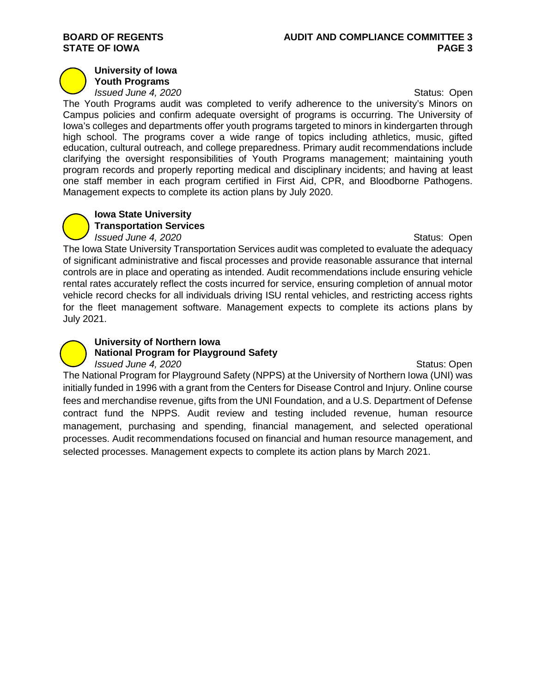# **STATE OF IOWA**

#### **University of Iowa Youth Programs**

*Issued June 4, 2020 ISSUED 10. ISSUED <b>Status: Open* 

The Youth Programs audit was completed to verify adherence to the university's Minors on Campus policies and confirm adequate oversight of programs is occurring. The University of Iowa's colleges and departments offer youth programs targeted to minors in kindergarten through high school. The programs cover a wide range of topics including athletics, music, gifted education, cultural outreach, and college preparedness. Primary audit recommendations include clarifying the oversight responsibilities of Youth Programs management; maintaining youth program records and properly reporting medical and disciplinary incidents; and having at least one staff member in each program certified in First Aid, CPR, and Bloodborne Pathogens. Management expects to complete its action plans by July 2020.

#### **Iowa State University Transportation Services**

*Issued June 4, 2020* **Status: Open** Status: Open

The Iowa State University Transportation Services audit was completed to evaluate the adequacy of significant administrative and fiscal processes and provide reasonable assurance that internal controls are in place and operating as intended. Audit recommendations include ensuring vehicle rental rates accurately reflect the costs incurred for service, ensuring completion of annual motor vehicle record checks for all individuals driving ISU rental vehicles, and restricting access rights for the fleet management software. Management expects to complete its actions plans by July 2021.

# **University of Northern Iowa National Program for Playground Safety**

*Issued June 4, 2020* **Status: Open** The National Program for Playground Safety (NPPS) at the University of Northern Iowa (UNI) was initially funded in 1996 with a grant from the Centers for Disease Control and Injury. Online course fees and merchandise revenue, gifts from the UNI Foundation, and a U.S. Department of Defense contract fund the NPPS. Audit review and testing included revenue, human resource management, purchasing and spending, financial management, and selected operational processes. Audit recommendations focused on financial and human resource management, and selected processes. Management expects to complete its action plans by March 2021.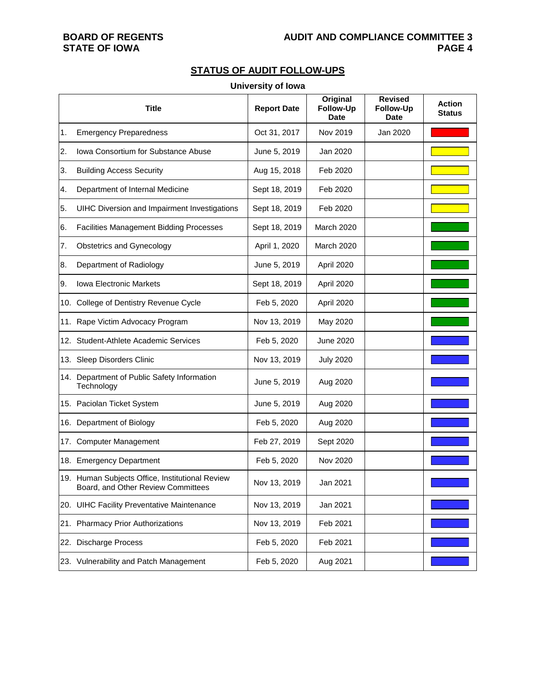# **STATE OF IOWA**

# **STATUS OF AUDIT FOLLOW-UPS**

#### **University of Iowa**

|    | <b>Title</b>                                                                          | <b>Report Date</b> | Original<br>Follow-Up<br><b>Date</b> | <b>Revised</b><br>Follow-Up<br><b>Date</b> | <b>Action</b><br><b>Status</b> |
|----|---------------------------------------------------------------------------------------|--------------------|--------------------------------------|--------------------------------------------|--------------------------------|
| 1. | <b>Emergency Preparedness</b>                                                         | Oct 31, 2017       | Nov 2019                             | Jan 2020                                   |                                |
| 2. | Iowa Consortium for Substance Abuse                                                   | June 5, 2019       | Jan 2020                             |                                            |                                |
| 3. | <b>Building Access Security</b>                                                       | Aug 15, 2018       | Feb 2020                             |                                            |                                |
| 4. | Department of Internal Medicine                                                       | Sept 18, 2019      | Feb 2020                             |                                            |                                |
| 5. | UIHC Diversion and Impairment Investigations                                          | Sept 18, 2019      | Feb 2020                             |                                            |                                |
| 6. | <b>Facilities Management Bidding Processes</b>                                        | Sept 18, 2019      | <b>March 2020</b>                    |                                            |                                |
| 7. | Obstetrics and Gynecology                                                             | April 1, 2020      | <b>March 2020</b>                    |                                            |                                |
| 8. | Department of Radiology                                                               | June 5, 2019       | April 2020                           |                                            |                                |
| 9. | Iowa Electronic Markets                                                               | Sept 18, 2019      | April 2020                           |                                            |                                |
|    | 10. College of Dentistry Revenue Cycle                                                | Feb 5, 2020        | April 2020                           |                                            |                                |
|    | 11. Rape Victim Advocacy Program                                                      | Nov 13, 2019       | May 2020                             |                                            |                                |
|    | 12. Student-Athlete Academic Services                                                 | Feb 5, 2020        | June 2020                            |                                            |                                |
|    | 13. Sleep Disorders Clinic                                                            | Nov 13, 2019       | <b>July 2020</b>                     |                                            |                                |
|    | 14. Department of Public Safety Information<br>Technology                             | June 5, 2019       | Aug 2020                             |                                            |                                |
|    | 15. Paciolan Ticket System                                                            | June 5, 2019       | Aug 2020                             |                                            |                                |
|    | 16. Department of Biology                                                             | Feb 5, 2020        | Aug 2020                             |                                            |                                |
|    | 17. Computer Management                                                               | Feb 27, 2019       | Sept 2020                            |                                            |                                |
|    | 18. Emergency Department                                                              | Feb 5, 2020        | Nov 2020                             |                                            |                                |
|    | 19. Human Subjects Office, Institutional Review<br>Board, and Other Review Committees | Nov 13, 2019       | Jan 2021                             |                                            |                                |
|    | 20. UIHC Facility Preventative Maintenance                                            | Nov 13, 2019       | Jan 2021                             |                                            |                                |
|    | 21. Pharmacy Prior Authorizations                                                     | Nov 13, 2019       | Feb 2021                             |                                            |                                |
|    | 22. Discharge Process                                                                 | Feb 5, 2020        | Feb 2021                             |                                            |                                |
|    | 23. Vulnerability and Patch Management                                                | Feb 5, 2020        | Aug 2021                             |                                            |                                |